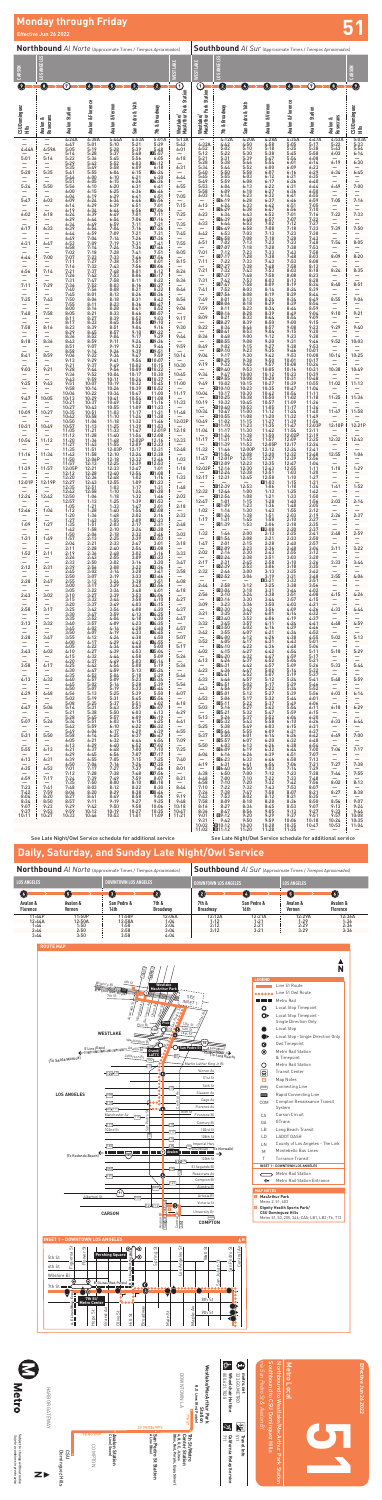Subject to change without notice<br>Sujeto a cambios sin previo aviso Subject to change without notice *Sujeto a cambios sin previo aviso*

**W**<br>Metro

 $\hat{\mathcal{J}}$  California Relay Service **California Relay Service**

**511**<br>**S11** 511 **Travel Info**

Effective Jun 26 2022 **Effective Jun 26 2022**

|                                   | Northbound Al Norte (Approximate Times / Tiempos Aproximados) |                               |                                                                               |                                         |                                        |                                                                                           |                                          |                                     |                                                                                   | <b>Southbound</b> Al Sur (Approximate Times / Tiempos Aproximados) |                                                                 |                                                                    |                                        |                               |                               |  |  |  |
|-----------------------------------|---------------------------------------------------------------|-------------------------------|-------------------------------------------------------------------------------|-----------------------------------------|----------------------------------------|-------------------------------------------------------------------------------------------|------------------------------------------|-------------------------------------|-----------------------------------------------------------------------------------|--------------------------------------------------------------------|-----------------------------------------------------------------|--------------------------------------------------------------------|----------------------------------------|-------------------------------|-------------------------------|--|--|--|
| CAR <sub>SO</sub>                 | GELES                                                         |                               |                                                                               |                                         |                                        |                                                                                           | ESTLAKE                                  | LAKE<br>횲                           | <b>NGELES</b>                                                                     |                                                                    |                                                                 |                                                                    |                                        |                               | CARSON                        |  |  |  |
| Ω                                 | O                                                             | ℗                             | Ø                                                                             | O                                       | 0                                      | 0                                                                                         | $\mathbf \Theta$<br><b>Station</b>       | ➀                                   | 0                                                                                 | Ø                                                                  | O                                                               | $\left( 6\right)$                                                  | ⑦                                      | O                             | Ø                             |  |  |  |
| CSU Dominguez<br>ι                | Avalon &<br>Rosecrans                                         | Avalon Station                | <b>Avalon &amp; Florence</b><br>4:38A                                         | Avalon & Vernon                         | San Pedro & 14th                       | & Broadway<br>Ē<br>5:01A                                                                  | Westlake/<br>MacArthur Park S            | Westlake/<br>MacArthur Park Station | 7th & Broadway                                                                    | San Pedro & 16th                                                   | Avalon & Vernon                                                 | <b>Avalon &amp; Florence</b><br>4:35A                              | Avalon Station                         | Avalon &<br>Rosecrans         | CSU Dominguez<br>Шă           |  |  |  |
| 4:44A                             | 4:59A                                                         | 4:24A<br>4:47<br>5:05<br>5:14 | 5:01<br>5:19<br>5:28                                                          | $4:44A$<br>5:10<br>5:28<br>5:37         | 4:53A<br>5:21<br>5:39<br>5:48          | 5:29<br>5:48<br>II5:57                                                                    | $\frac{5:13A}{5:42}$<br>6:01             | 4:32A<br>4:52<br>5:12               | 4:12A<br>4:42<br>5:02<br>5:22                                                     | 4:20A<br>4:50<br>5:10<br>5:30                                      | 4:28A<br>4:58<br>5:18<br>5:38                                   | 5:05<br>5:25<br>5:45                                               | 4:47A<br>5:17<br>$5:38$<br>$5:58$      | 4:53A<br>5:22<br>5:43<br>6:03 | 5:03A<br>5:33<br>5:54<br>6:14 |  |  |  |
| 5:01                              | 5:16                                                          | 5:22<br>5:29<br>5:35          | 5:36<br>5:43<br>5:49                                                          | 5:45<br>5:52<br>5:58                    | 5:56<br>6:03<br>6:09                   | 6:05<br>16:12<br>6:18                                                                     | 6:18<br>6:31                             | 5:21<br>5:28<br>5:34                | 5:31<br>5:38<br>5:44                                                              | 5:39<br>5:46<br>5:52                                               | 5:47<br>5:54<br>6:00                                            | 5:54<br>6:01<br>6:09                                               | 6:08<br>6:14<br>6:23                   | 6:19                          | 6:30                          |  |  |  |
| 5:20                              | 5:35                                                          | 5:41<br>5:46                  | 5:55<br>6:00                                                                  | 6:04<br>6:10                            | 6:15<br>6:21                           | Ш6:24<br>6:30                                                                             | 6:44                                     | 5:40<br>5:45                        | 5:50<br>5:55<br>5:59                                                              | 5:58<br>$6:03$<br>$6:08$                                           | 6:07<br>$6:12$<br>$6:17$                                        | 6:16<br>6:21<br>6:26                                               | 6:29<br>6:35<br>6:40                   | 6:34                          | 6:45                          |  |  |  |
| 5:34                              | 5:50                                                          | 5:51<br>5:56<br>6:00          | 6:05<br>6:10<br>6:15                                                          | 6:15<br>6:20<br>$6:25$<br>$6:29$        | 6:26<br>6:31<br>6:36                   | ■6:36<br>6:41<br><b>D6:46</b>                                                             | 6:55                                     | 5:49<br>5:53<br>5:58                | 6:04<br>6:09                                                                      | 6:13<br>6:18                                                       | 6:22<br>6:27                                                    | 6:31<br>6:36                                                       | 6:44<br>6:50                           | 6:49                          | 7:00                          |  |  |  |
| 5:47                              | 6:03                                                          | 6:04<br>6:09<br>6:14          | 6:19<br>6:24<br>6:29                                                          | $6:34$<br>$6:39$                        | 6:41<br>6:46<br>6:51                   | 6:51<br>■6:56<br>7:01                                                                     | 7:05<br>$\overline{7:15}$                | 6:03<br>6:13                        | 6:14<br>回6:19<br>6:24                                                             | 6:23<br>6:28<br>6:33                                               | 6:32<br>6:37<br>6:42                                            | 6:41<br>6:46<br>6:51                                               | 6:55<br>6:59<br>7:05                   | 7:05                          | 7:16                          |  |  |  |
| 6:02                              | 6:18                                                          | 6:19<br>6:24<br>6:29          | 6:34<br>6:39<br>6:44                                                          | 6:44<br>6:49<br>6:54                    | 6:56<br>7:01<br>7:06                   | $\Pi7:06$<br>7:11<br>$\Pi$ 7:16                                                           | 7:25                                     | 6:23                                | 回6:29<br>6:34<br>回6:39                                                            | 6:38<br>6:43<br>6:48<br>6:53                                       | 6:47<br>6:52<br>6:57                                            | 6:56<br>7:01<br>7:07                                               | $7:10$<br>$7:16$                       | 7:22                          | $\frac{-}{7:33}$              |  |  |  |
| 6:17                              | 6:33                                                          | 6:34<br>6:39<br>6:44          | 6:49<br>6:54<br>6:59                                                          | 6:59<br>7:04<br>7:09                    | 7:11<br>$7:16$<br>$7:21$               | 7:21<br>$\Pi7:26$<br>7:31                                                                 | 7:35<br>7:45                             | 6:33<br>6:42                        | 6:44<br>回6:49<br>6:53                                                             | 6:58<br>7:03                                                       | 7:02<br>7:08<br>7:13                                            | 7:12<br>7:18<br>7:23                                               | $7:22$<br>$7:27$<br>7:33<br>7:38       | 7:39                          | 7:50                          |  |  |  |
| 6:31                              | 6:47                                                          | 6:49<br>6:53                  | 7:04<br>7:09                                                                  | 7:14<br>7:19                            | $7:26$<br>$7:31$<br>7:36               | $\Pi7:36$<br>7:41                                                                         | 7:55                                     | 6:51                                | 回6:58<br>7:02<br>D7:07                                                            | 7:08<br>7:13                                                       | 7:18<br>7:23<br>7:28                                            | 7:28<br>7:33<br>7:38                                               | 7:43<br>7:48                           | 7:54                          | 8:05                          |  |  |  |
| 6:44                              | 7:00                                                          | 6:58<br>7:02<br>7:07          | 7:14<br>7:18<br>7:23                                                          | 7:24<br>7:28<br>7:33                    | 7:41<br>7:46                           | ■7:46<br>7:51<br>$\Pi7:56$                                                                | 8:05                                     | 7:01                                | 7:12<br>D7:17                                                                     | $7:18$<br>$7:23$<br>$7:28$                                         | 7:33<br>7:38                                                    | 7:43<br>7:48                                                       | $7:53$<br>$7:58$<br>8:03               | 8:09                          | 8:20                          |  |  |  |
| 6:56                              | 7:14                                                          | 7:11<br>7:16<br>7:21<br>7:26  | 7:27<br>7:32<br>7:37                                                          | 7:38<br>7:43<br>7:48<br>7:53            | 7:51<br>7:56<br>8:01                   | 8:01<br><b>E8:06</b><br>8:12                                                              | 8:15<br>8:26                             | 7:11<br>7:21                        | 7:22<br>回7:27<br>7:32                                                             | 7:33<br>7:38<br>7:43                                               | 7:43<br>7:48<br>7:53                                            | 7:53<br>7:58<br>8:03                                               | 8:08<br>8:13<br>8:18                   | 8:24                          | 8:35                          |  |  |  |
| 7:11                              | 7:29                                                          | 7:31<br>7:36                  | 7:42<br>7:47<br>7:52                                                          | 7:58<br>8:03                            | 8:06<br>8:11<br>8:16                   | <b>EB</b> 8:17<br>8:22<br>18:27                                                           | 8:36                                     | 7:31                                | D7:37<br>7:42<br>47:47                                                            | 7:48<br>$7:53$<br>$7:58$                                           | 7:58<br>8:03<br>8:09                                            | 8:08<br>8:13<br>8:19                                               | 8:23<br>8:28<br>8:34                   | 8:40                          | 8:51                          |  |  |  |
| 7:25                              | 7:43                                                          | 7:40<br>7:45<br>7:50          | 7:56<br>8:01<br>8:06                                                          | 8:08<br>8:13<br>8:18                    | 8:21<br>8:26<br>8:31                   | 8:32<br>■8:36<br>8:42                                                                     | 8:46<br>8:56                             | 7:41<br>7:49                        | 7:52<br>D7:56<br>8:01                                                             | 8:03<br>8:08<br>8:13                                               | 8:14<br>8:19<br>8:24                                            | 8:24<br>8:29<br>8:34                                               | 8:39<br>8:44<br>8:49                   | 8:55                          | 9:06                          |  |  |  |
| 7:40                              | 7:58                                                          | 7:55<br>8:00                  | 8:11<br>8:16                                                                  | 8:23<br>8:28<br>8:33                    | 8:36<br>8:41                           | <b>E8:47</b><br>8:52                                                                      | 9:06                                     | 7:59                                | 回8:06<br>8:11<br>回8:16                                                            | 8:18<br>$8:23$<br>$8:28$                                           | 8:29<br>8:34<br>8:39                                            | 8:39<br>8:44<br>8:49                                               | 8:54<br>8:59<br>9:04                   | 9:10                          | 9:21                          |  |  |  |
|                                   |                                                               | 8:05<br>8:11<br>8:17          | 8:21<br>8:27<br>8:33                                                          | 8:39<br>8:45                            | 8:46<br>8:52<br>8:58                   | 18:57<br>9:03<br>19:10                                                                    | 9:17                                     | 8:09                                | 8:21<br>回8:27                                                                     | 8:33<br>8:39                                                       | 8:44<br>8:50                                                    | 8:54<br>9:00                                                       | 9:09<br>9:15                           |                               |                               |  |  |  |
| 7:58                              | 8:16                                                          | 8:23<br>8:29<br>8:36          | 8:39<br>8:45<br>8:52                                                          | 8:51<br>8:57<br>9:04                    | 9:04<br>9:10<br>9:17                   | 9:16<br>19:22<br>9:29                                                                     | 9:30<br>9:44                             | 8:22<br>8:36                        | 8:34<br>回8:41<br>8:48                                                             | 8:46<br>8:53<br>9:00                                               | 8:57<br>9:04<br>9:12                                            | 9:08<br>9:15<br>9:23                                               | 9:23<br>9:30<br>9:38                   | 9:29                          | 9:40                          |  |  |  |
| 8:18                              | 8:36                                                          | $8:43$<br>$8:51$<br>8:58      | 8:59<br>9:07<br>9:14                                                          | 9:11<br>9:19<br>9:26                    | $9:24$<br>$9:32$<br>9:39               | ■9:36<br>9:44<br>19:51                                                                    | 9:59                                     | 8:49                                | 回8:55<br>9:02<br>回9:10                                                            | $9:08$<br>$9:15$                                                   | 9:20<br>9:27                                                    | 9:31<br>9:38<br>9:46                                               | 9:46<br>9:53                           | 9:52                          | 10:03                         |  |  |  |
| 8:41                              | 8:59                                                          | 9:06<br>9:13                  | 9:22<br>9:29                                                                  | 9:34<br>9:41                            | 9:47<br>9:54                           | 9:59<br>10:07                                                                             | 10:14                                    | 9:04                                | 9:17<br>回9:25                                                                     | $9:23$<br>$9:30$<br>9:38                                           | $9:35$<br>$9:42$<br>9:50                                        | 9:53<br>10:01                                                      | $10:01$<br>$10:08$<br>10:17            | 10:14                         | 10:25                         |  |  |  |
| 9:03                              | 9:21                                                          | 9:21<br>9:28<br>9:36          | 9:37<br>9:44<br>9:52                                                          | 9:49<br>9:56<br>10:04                   | 10:02<br>10:09<br>10:17                | 10:15<br>■10:22<br>10:30                                                                  | 10:30<br>10:45                           | 9:19<br>9:34                        | 9:32<br>回9:40<br>9:47                                                             | 9:45<br>9:53<br>10:00                                              | 9:57<br>10:05<br>10:12                                          | 10:08<br>10:16<br>10:23                                            | 10:24<br>10:31<br>10:39                | 10:38                         | 10:49                         |  |  |  |
| 9:25                              | 9:43                                                          | 9:43<br>9:51<br>9:58          | 9:59<br>10:07                                                                 | 10:11<br>10:19<br>10:26                 | 10:24<br>10:32<br>10:39                | 010:37<br>10:45<br>10:52                                                                  | 11:00                                    | 9:49                                | 回9:55<br>10:02<br>$\Pi$ 10:10                                                     | 10:08<br>10:15                                                     | 10:20<br>$10:27$<br>$10:35$                                     | 10:31<br>10:39                                                     | 10:48<br>$10:55$<br>$11:04$<br>$11:11$ | 11:02                         | 11:13                         |  |  |  |
| 9:47                              | 10:05                                                         | 10:06<br>10:13<br>10:21       | 10:14<br>10:22<br>10:29                                                       | 10:34<br>10:41<br>10:49                 | 10:47<br>10:54<br>11:02                | 11:00<br>11:08                                                                            | 11:17<br>11:33                           | 10:04<br>10:19                      | 10:17<br>回10:25<br>10:32                                                          | 10:23<br>10:30<br>10:38<br>10:45                                   | 10:42<br>10:50<br>10:57                                         | 10:47<br>10:54<br>11:02<br>11:09                                   | 11:18<br>11:26                         | 11:25                         | 11:36                         |  |  |  |
| 10:09                             | 10:27                                                         | 10:27<br>$10:35$<br>$10:42$   | $10:37$<br>$10:43$<br>$10:51$<br>$10:58$                                      | 10:55<br>11:03                          | 11:09<br>$11:17$<br>$11:24$            | $\begin{array}{r} 11:16 \\ \hline 111:23 \\ 11:31 \\ \hline 111:38 \\ \hline \end{array}$ | 11:48                                    | 10:34                               | 回10:40                                                                            | 10:53<br>11:00                                                     | 11:05                                                           | 11:17                                                              | 11:34<br>11:40<br>11:49                | 11:47                         | 11:58                         |  |  |  |
| —<br>10:31                        | 10:49                                                         | 10:50<br>10:57                | 11:06<br>11:13                                                                | 11:10<br>11:18<br>11:25                 | 11:32<br>11:39                         | 11:46<br>11:53                                                                            | 12:03P                                   | 10:49                               | $\begin{array}{r} 10.47 \\ 10.55 \\ \hline 11.02 \\ 011.10 \\ \hline \end{array}$ | 11:08<br>$11:15$<br>$11:23$                                        | $\begin{array}{c} 11:12 \\ 11:20 \\ 11:27 \\ 11:35 \end{array}$ | $\begin{array}{c} 11:24 \\ 11:32 \\ 11:39 \\ 11:47 \\ \end{array}$ | 11:56<br>12:03P                        | 12:10P                        | 12:21P                        |  |  |  |
| $\overline{\phantom{0}}$<br>10:54 | Ξ<br>11:12                                                    | 11:05<br>11:12<br>11:20       | 11:21<br>11:28                                                                | 11:33<br>11:40<br>11:48                 | 11:47<br>11:54<br>12:02P               | 12:01P<br>■12:08<br>12:16                                                                 | 12:18<br>12:33                           | 11:04<br>11:17                      | 11:17<br>回11:24<br>11:31                                                          | 11:30<br>11:38<br>11:45                                            | 11:42<br>11:50<br>11:57                                         | 11:54<br>12:02P<br>12:09                                           | 12:11<br>12:19<br>12:25                | 12:32                         | 12:43                         |  |  |  |
| 11:16                             | 11:34                                                         | 11:27<br>11:35<br>11:42       | 11:36<br>11:43<br>11:51<br>11:58                                              | 11:55<br>12:03P<br>12:10                | 12:09<br>$12:17$<br>$12:24$<br>$12:32$ | 12:23<br>12:31<br>■12:38                                                                  | 12:48                                    | 11:32                               | 回11:39<br>$11:46$<br>011:54                                                       | 11:53<br>12:00P<br>12:08                                           | 12:05P<br>12:12<br>12:20                                        | 12:17<br>$12:24$<br>$12:32$<br>$12:39$                             | 12:34<br>12:41<br>12:48                | 12:55                         | 1:06                          |  |  |  |
|                                   |                                                               | 11:50<br>11:57                |                                                                               | 12:18<br>12:25<br>12:33                 | 12:39                                  | 12:46<br>12:53                                                                            | 1:03                                     | 11:47                               | 12:01P<br>回12:09                                                                  | $12:15$<br>$12:23$<br>$12:30$                                      | 12:27<br>12:35                                                  | 12:47                                                              | 12:56<br>1:04                          |                               | -                             |  |  |  |
| 11:39                             | 11:57                                                         | 12:05P<br>12:12<br>12:20      | 11:36<br>12:06P<br>12:13<br>12:28<br>12:36<br>12:43<br>12:51<br>12:58<br>1.06 | $12:40$<br>$12:48$<br>$12:55$<br>$1:03$ | 12:47<br>12:54<br>1:02                 | 1:01<br>$\Pi$ 1:08<br>$\frac{1:16}{2:1:23}$                                               | 1:18<br>1:33                             | 12:02P<br>12:17                     | 12:16<br>回12:24<br>12:31                                                          | 12:38<br>12:45                                                     | 12:43<br>12:51<br>12:58                                         | 12:55<br>1:03<br>1:10                                              | 1:11<br>1:20<br>1:27                   | 1:18                          | 1:29<br>$\frac{1}{2}$         |  |  |  |
| 12:01P<br>$\equiv$                | 12:19P<br>Ξ                                                   | $12:27$<br>12:35<br>12:42     |                                                                               | 1:10                                    | 1:09<br>1:17<br>1:24                   | 1:31<br>$\Pi$ 1:38                                                                        | 1:48                                     | $\equiv$<br>12:32                   | $\frac{ \text{m}12:39}{12:46}$<br>$\frac{ \text{m}12:54}{2}$                      | 12:53<br>1:00                                                      | $\frac{11:03}{1:06}$<br>1:13                                    | 1:15<br>1:18                                                       | $1:31$<br>$1:34$<br>1:42               | 1:41                          | 1:52<br>—                     |  |  |  |
| 12:24<br>-                        | 12:42                                                         | 12:50<br>12:57<br>1:05        | 1:06<br>1:13<br>1:21                                                          | 1:18<br>1:25<br>1:33                    | 1:32<br>1:39<br>1:47                   | 1:46<br>1:53<br>2:01                                                                      | 2:03<br>$\overline{\phantom{0}}$<br>2:18 | 12:47                               | 1:01<br>回1:09                                                                     | 1:08<br>1:15<br>1:23                                               | 1:21<br>1:28<br>1:36                                            | $1:25$<br>$1:33$<br>1:40<br>1:48                                   | 1:50<br>1:56<br>2:05                   | 2:03                          | 2:14                          |  |  |  |
| 12:46                             | 1:04                                                          | 1:12<br>1:20                  | 1:28<br>1:36                                                                  | 1:40<br>1:48                            | 1:54<br>2:02                           | 12:08<br>2:16                                                                             | $\overline{\phantom{0}}$<br>2:33         | 1:02                                | 1:16<br>$\Pi$ 1:24                                                                | 1:30<br>1:38<br>1:45                                               | 1:43<br>1:51                                                    | 1:55<br>2:03                                                       | 2:12<br>2:19<br>2:27                   | 2:26                          | 2:37                          |  |  |  |
| 1:09                              | 1:27                                                          | 1:27<br>1:35<br>1:42          | $1:43$<br>$1:51$<br>1:58                                                      | 1:55<br>2:03<br>2:10                    | 2:09<br>2:17<br>2:24                   | 12:23<br>2:31<br>■2:38                                                                    | 2:48                                     | 1:17<br>—                           | 1:31<br>回1:39                                                                     | 1:53                                                               | 1:58<br>2:06<br>$\Pi$ 2:08                                      | 2:10<br>2:18<br>$2:20$<br>$2:25$                                   | 2:35<br>2:37                           | —                             | -                             |  |  |  |
| 1:31<br>Ξ                         | 1:49<br>Ξ                                                     | 1:50<br>1:57<br>2:04          | 2:06<br>2:13                                                                  | 2:18<br>2:25<br>2:33<br>2:40            | 2:32<br>2:39<br>2:47                   | $2:46$<br>12:53<br>$3:01$<br>3:08                                                         | 3:03<br>3:18                             | 1:32<br>1:47                        | 1:46<br>D1:54<br>2:01                                                             | 2:00<br>2:08<br>2:15                                               | 2:13<br>2:21<br>2:28                                            | 2:33<br>2:40                                                       | $2:41$<br>$2:50$<br>2:57               | 2:48                          | 2:59                          |  |  |  |
| 1:52                              | 2:11                                                          | 2:11<br>2:19<br>2:26          | $2:21$<br>$2:28$<br>$2:36$<br>$2:43$                                          | $2:48$<br>$2:55$                        | 2:54<br>3:02<br>3:09                   | $3:16$<br>3:23                                                                            | 3:33                                     | 2:02                                | 回2:09<br>$2:16$<br>D2:24                                                          | 2:23                                                               | 2:36<br>2:43<br>2:51                                            | 2:48<br>2:55<br>3:03                                               | 3:04<br>3:12<br>3:20                   | 3:11                          | 3:22<br>Ξ                     |  |  |  |
| 2:12                              | 2:31                                                          | 2:33<br>2:39<br>2:45          | 2:50<br>2:56<br>3:02                                                          | 3:02<br>3:08<br>3:14                    | 3:16<br>3:22<br>3:28                   | 3:30<br>■3:36<br>3:41                                                                     | 3:47<br>3:58                             | 2:17<br>2:32                        | 2:31<br>回2:39<br>2:46                                                             | 2:30<br>2:38<br>2:45<br>2:45<br>2:53<br>3:00                       | 2:58<br>3:06<br>3:13                                            | 3:10<br>3:18<br>3:25                                               | $3:26$<br>$3:35$<br>3:42               | 3:33                          | 3:44                          |  |  |  |
| $\equiv$<br>2:28                  | Ξ<br>2:47                                                     | 2:50<br>2:55                  | 3:07<br>3:12                                                                  | 3:19<br>3:24                            | 3:33<br>3:38                           | ■3:46<br>3:51                                                                             | 4:08                                     |                                     | D2:52                                                                             | 3:06                                                               | 3:19<br>■3:21                                                   | 3:31<br>3:33                                                       | 3:48<br>3:51                           | 3:55                          | 4:06                          |  |  |  |
| 2:43                              | 3:02                                                          | 3:00<br>3:05<br>3:10          | 3:17<br>$3:22$<br>$3:27$                                                      | 3:29<br>$3:34$<br>$3:39$                | 3:43<br>3:48<br>3:53                   | ■3:56<br>4:01<br>■4:06                                                                    | 4:18                                     | 2:44<br>2:56                        | 2:58<br>回3:04<br>3:10                                                             | 3:12<br>3:18<br>3:24                                               | 3:25<br>3:31<br>3:38                                            | 3:38<br>3:44<br>3:51                                               | 3:56<br>4:02<br>4:08                   | $\qquad \qquad -$<br>4:15     | —<br>4:26                     |  |  |  |
| 2:58                              | 3:17                                                          | 3:15<br>3:20<br>3:25          | 3:32<br>3:37<br>3:42                                                          | 3:44<br>3:49<br>3:54                    | 3:58<br>4:03<br>4:08                   | 4:10<br>$\Pi$ 4:15<br>4:20                                                                | 4:27<br>—<br>4:37                        | 3:09                                | 回3:16<br>3:23<br>回3:30                                                            | 3:30<br>3:36<br>3:42                                               | $3:44$<br>$3:50$<br>3:56                                        | 3:57<br>4:03<br>4:09                                               | 4:15<br>4:21<br>4:26                   | 4:33                          | -<br>4:44                     |  |  |  |
| 3:13                              | 3:32                                                          | 3:30<br>3:35<br>3:40          | $3:47$<br>$3:52$<br>$3:57$<br>$4:02$                                          | 3:59<br>4:04<br>4:09                    | 4:13<br>4:18                           | $\frac{14:25}{4:30}$                                                                      | 4:47                                     | 3:21<br>3:32                        | 3:35<br>回3:40<br>3:45                                                             | 3:47<br>3:52<br>3:57                                               | 4:01<br>4:06<br>4:11                                            | 4:14<br>4:19                                                       | 4:32<br>4:37<br>4:41                   | 4:48                          | 4:59                          |  |  |  |
| —                                 | —                                                             | 3:45<br>3:50                  | 4:07                                                                          | 4:14<br>4:19                            | $4:23$<br>$4:28$<br>4:33               | 4:40<br>U4:45                                                                             | 4:57                                     | 3:42                                | 13:50<br>$3:55$<br>04:00                                                          | 4:02<br>4:07                                                       | 4:16<br>4:21                                                    | $4:24$<br>$4:29$<br>$4:34$<br>$4:38$                               | 4:46<br>$4:52$<br>$4:55$               |                               | 5:13                          |  |  |  |
| 3:28<br>—                         | 3:47                                                          | 3:55<br>4:00<br>4:05          | 4:12<br>4:17<br>4:22                                                          | 4:24<br>4:29<br>4:34                    | 4:38<br>4:43<br>4:48                   | 4:50<br>U4:55<br>5:00                                                                     | 5:07<br>5:17                             | 3:52                                | 4:05<br>回4:10                                                                     | 4:12<br>4:17<br>4:22                                               | 4:26<br>4:31<br>4:36                                            | 4:43<br>4:48                                                       | 5:01<br>5:06                           | 5:02                          |                               |  |  |  |
| 3:43                              | 4:02                                                          | 4:10<br>4:15<br>4:20          | 4:27<br>4:32<br>4:37                                                          | 4:39<br>4:44<br>4:49                    | 4:53<br>4:58<br>5:03                   | $\frac{15:04}{5:09}$<br>$\Pi$ 5:14                                                        | $\overline{\phantom{0}}$<br>5:26         | 4:02<br>4:13                        | 4:15<br>回4:20<br>4:26                                                             | 4:27<br>4:32<br>4:37                                               | 4:42<br>4:47<br>4:52                                            | 4:54<br>4:59<br>5:04                                               | 5:11<br>5:17<br>5:21                   | 5:18                          | 5:29<br>—                     |  |  |  |
| 3:58                              | 4:17                                                          | 4:25<br>4:30<br>4:35          | 4:42<br>4:47<br>4:52                                                          | 4:54<br>4:59<br>5:04                    | 5:08<br>5:13<br>5:18                   | 5:19<br><b>DS:24</b><br>5:29                                                              | 5:36<br>5:46                             | 4:23                                | 回4:31<br>4:36<br>回4:41                                                            | 4:42<br>$4:47$<br>$4:52$                                           | 4:57<br>5:02<br>5:07                                            | 5:09<br>5:14<br>5:19                                               | 5:26<br>5:32<br>5:37                   | 5:33                          | 5:44<br>—                     |  |  |  |

|       |                          | 4:30  | 4:47  | 4:59  | 5:13  | $\Pi$ 5:24            | —                        | 4:23                     | 4:36           | 4:47  | 5:02  | 5:14  | 5:32                     |                          |                          |
|-------|--------------------------|-------|-------|-------|-------|-----------------------|--------------------------|--------------------------|----------------|-------|-------|-------|--------------------------|--------------------------|--------------------------|
|       |                          | 4:35  | 4:52  | 5:04  | 5:18  | 5:29                  | 5:46                     | -                        | D4:41          | 4:52  | 5:07  | 5:19  | 5:37                     |                          |                          |
| 4:13  | 4:32                     | 4:40  | 4:57  | 5:09  | 5:23  | $\Pi$ 5:34            | —                        | 4:33                     | 4:46           | 4:57  | 5:12  | 5:24  | 5:41                     | 5:48                     | 5:59                     |
|       |                          | 4:45  | 5:02  | 5:14  | 5:28  | 5:39                  | 5:56                     | $\overline{\phantom{0}}$ | D4:51          | 5:02  | 5:17  | 5:29  | 5:46                     | -                        |                          |
|       | $\overline{\phantom{0}}$ | 4:50  | 5:07  | 5:19  | 5:33  | $\Pi$ <sub>5:44</sub> | —                        | 4:43                     | 4:56           | 5:07  | 5:22  | 5:34  | 5:52                     | —                        |                          |
| 4:29  | 4:48                     | 4:56  | 5:13  | 5:25  | 5:39  | 5:50                  | 6:07                     | $\overline{\phantom{0}}$ | $D5:01$        | 5:12  | 5:27  | 5:39  | 5:56                     | 6:03                     | 6:14                     |
|       | —                        | 5:02  | 5:19  | 5:31  | 5:45  | <b>EI5:56</b>         | —                        | 4:53                     | 5:06           | 5:17  | 5:32  | 5:44  | 6:01                     | —                        |                          |
| —     | -                        | 5:08  | 5:25  | 5:37  | 5:51  | 6:02                  | 6:18                     | -                        | D5:11          | 5:22  | 5:37  | 5:49  | 6:06                     | —                        |                          |
| 4:47  | 5:06                     | 5:14  | 5:31  | 5:43  | 5:57  | 16:07                 | —                        | 5:03                     | 5:16           | 5:27  | 5:42  | 5:54  | 6:11                     | 6:18                     | 6:29                     |
|       | -                        | 5:21  | 5:38  | 5:50  | 6:03  | 6:13                  | 6:29                     | $\overline{\phantom{0}}$ | D5:21          | 5:32  | 5:47  | 5:59  | 6:15                     | —                        | $\overline{\phantom{0}}$ |
|       | $\overline{\phantom{m}}$ | 5:28  | 5:45  | 5:57  | 6:09  | 16:19                 | —                        | 5:13                     | 5:26           | 5:37  | 5:52  | 6:04  | 6:20                     | —                        |                          |
| 5:07  | 5:26                     | 5:34  | 5:51  | 6:03  | 6:15  | 6:25                  | 6:41                     | $\overline{\phantom{0}}$ | 回5:32          | 5:43  | 5:58  | 6:10  | 6:26                     | 6:33                     | 6:44                     |
| —     | $\qquad \qquad -$        | 5:42  | 5:59  | 6:10  | 6:22  | 16:32                 | $\overline{\phantom{0}}$ | 5:25                     | 5:38           | 5:49  | 6:03  | 6:15  | 6:31                     | $\qquad \qquad -$        | $\qquad \qquad -$        |
| —     | $\overline{\phantom{0}}$ | 5:49  | 6:06  | 6:17  | 6:29  | 6:39                  | 6:55                     | $\overline{\phantom{0}}$ | 回5:44          | 5:55  | 6:09  | 6:21  | 6:37                     | —                        |                          |
| 5:31  | 5:50                     | 5:58  | 6:14  | 6:25  | 6:37  | <b>D6:47</b>          | —                        | 5:37                     | 5:50           | 6:01  | 6:14  | 6:26  | 6:42                     | 6:49                     | 7:00                     |
|       | —                        | 6:05  | 6:21  | 6:32  | 6:44  | 6:54                  | 7:09                     | $\overline{\phantom{0}}$ | $Q5:57$        | 6:07  | 6:20  | 6:32  | 6:48                     | -                        | —                        |
|       | —                        | 6:13  | 6:29  | 6:40  | 6:52  | $\Pi$ 7:02            | —                        | 5:50                     | 6:03           | 6:13  | 6:26  | 6:38  | 6:54                     | —                        | —                        |
| 5:55  | 6:13                     | 6:21  | 6:37  | 6:48  | 7:00  | 7:10                  | 7:25                     | $\overline{\phantom{0}}$ | 回6:09          | 6:19  | 6:32  | 6:44  | 7:00                     | 7:06                     | 7:17                     |
|       |                          | 6:29  | 6:45  | 6:56  | 7:07  | $\Pi$ 7:17            | —                        | 6:04                     | 6:16           | 6:26  | 6:39  | 6:51  | 7:07                     | $\qquad \qquad -$        | —                        |
| 6:13  | 6:31                     | 6:39  | 6:55  | 7:05  | 7:15  | 7:25                  | 7:40                     | —                        | 回6:23          | 6:33  | 6:46  | 6:58  | 7:13                     | —                        |                          |
| —     | —                        | 6:50  | 7:06  | 7:16  | 7:26  | $\Pi$ 7:35            | —                        | 6:19                     | 6:31           | 6:41  | 6:54  | 7:06  | 7:21                     | 7:27                     | 7:38                     |
| 6:35  | 6:53                     | 7:01  | 7:17  | 7:27  | 7:37  | 7:46                  | 8:01                     | $\overline{\phantom{0}}$ | 回6:40          | 6:50  | 7:03  | 7:14  | 7:29                     | —                        |                          |
| —     | —                        | 7:12  | 7:28  | 7:38  | 7:48  | $\Pi$ 7:56            | —                        | 6:38                     | 6:50           | 7:00  | 7:12  | 7:23  | 7:38                     | 7:44                     | 7:55                     |
| 6:59  | 7:17                     | 7:24  | 7:39  | 7:49  | 7:59  | 8:07                  | 8:21                     | 6:48                     | 7:00           | 7:10  | 7:22  | 7:33  | 7:48                     | —                        | -                        |
| —     | $\overline{\phantom{0}}$ | 7:35  | 7:50  | 8:00  | 8:10  | 18:18                 | —                        | 6:58                     | 7:10           | 7:20  | 7:32  | 7:42  | 7:56                     | 8:02                     | 8:13                     |
| 7:23  | 7:41                     | 7:48  | 8:03  | 8:12  | 8:22  | 8:30                  | 8:44                     | 7:10                     | 7:22           | 7:32  | 7:43  | 7:53  | 8:07                     | -                        | -                        |
| 7:42  | 7:59                     | 8:06  | 8:20  | 8:29  | 8:38  | ■8:46                 | $\overline{\phantom{0}}$ | 7:26                     | 7:38           | 7:47  | 7:58  | 8:07  | 8:21                     | 8:27                     | 8:38                     |
| 8:04  | 8:20                     | 8:27  | 8:41  | 8:49  | 8:58  | 9:06                  | 9:19                     | 7:42                     | 7:53           | 8:02  | 8:12  | 8:21  | 8:35                     | —                        | -                        |
| 8:34  | 8:50                     | 8:57  | 9:11  | 9:19  | 9:27  | 9:35                  | 9:48                     | 7:58                     | 8:09           | 8:18  | 8:28  | 8:36  | 8:50                     | 8:56                     | 9:07                     |
| 9:07  | 9:23                     | 9:29  | 9:42  | 9:50  | 9:58  | 10:06                 | 10:18                    | 8:16                     | 8:27           | 8:36  | 8:45  | 8:53  | 9:07                     | 9:13                     | 9:24                     |
| 9:37  | 9:53                     | 9:59  | 10:12 | 10:19 | 10:27 | 10:35                 | 10:47                    | 8:36                     | 8:47           | 8:56  | 9:05  | 9:13  | 9:27                     | 9:33                     | 9:44                     |
| 10:11 | 10:27                    | 10:33 | 10:46 | 10:53 | 11:01 | 11:09                 | 11:21                    | 9:01                     | ■9:12          | 9:20  | 9:29  | 9:37  | 9:51                     | 9:57                     | 10:08                    |
|       |                          |       |       |       |       |                       |                          | 9:31                     | 9:42           | 9:50  | 9:59  | 10:06 | 10:18                    | 10:24                    | 10:35                    |
|       |                          |       |       |       |       |                       |                          | 10:02                    | 日10:12         | 10:20 | 10:28 | 10:35 | 10:47                    | 10:53                    | 11:04                    |
|       |                          |       |       |       |       |                       |                          | 11:02                    | <b>E</b> 11:12 | 11:20 | 11:28 | 11:35 | $\overline{\phantom{0}}$ | $\overline{\phantom{0}}$ |                          |

See Late Night/Owl Service schedule for additional service See Late Night/Owl Service schedule for additional service



|                                          | <b>Northbound</b> Al Norte (Approximate Times / Tiempos Aproximados) |                                          |                                        | <b>Southbound</b> Al Sur (Approximate Times / Tiempos Aproximados) |                                |                                  |                                           |  |  |  |  |
|------------------------------------------|----------------------------------------------------------------------|------------------------------------------|----------------------------------------|--------------------------------------------------------------------|--------------------------------|----------------------------------|-------------------------------------------|--|--|--|--|
| <b>LOS ANGELES</b>                       |                                                                      | DOWNTOWN LOS ANGELES'                    |                                        | <b>DOWNTOWN LOS ANGELES</b>                                        |                                | <b>LOS ANGELES</b>               |                                           |  |  |  |  |
| Avalon &<br><b>Florence</b>              | 65<br>Avalon &<br>Vernon                                             | $^{\prime}$ 3.<br>San Pedro &<br>14th    | (2)<br>7th &<br><b>Broadway</b>        | $\mathbf{2}$<br>7th &<br>Broadway                                  | San Pedro &<br>16th            | $\sqrt{5}$<br>Avalon &<br>Vernon | $\sqrt{6}$<br>Avalon &<br><b>Florence</b> |  |  |  |  |
| 11:44P<br>12:44A<br>1:44<br>2:44<br>3:44 | 11:50P<br>12:50A<br>1:50<br>2:50<br>3:50                             | 11:58P<br>12:58A<br>1:58<br>2:58<br>3:58 | 12:06A<br>1:04<br>2:04<br>3:04<br>4:04 | 12:12A<br>1:12<br>2:12<br>3:12                                     | 12:21A<br>1:21<br>2:21<br>3:21 | 12:29A<br>1:29<br>2:29<br>3:29   | 12:36A<br>1:36<br>2:36<br>3:36            |  |  |  |  |

## **Daily, Saturday, and Sunday Late Night/Owl Service**

# **Monday through Friday Effective Jun 26 2022 51**

**Wheelchair Hotline**









*via San Pedro St & Avalon Bl*

Southbound to CSU Dominguez Hills Northbound to Westlake/MacArthur Park Station Southbound to CSU Dominguez Hills Northbound to Westlake/MacArthur Park Station